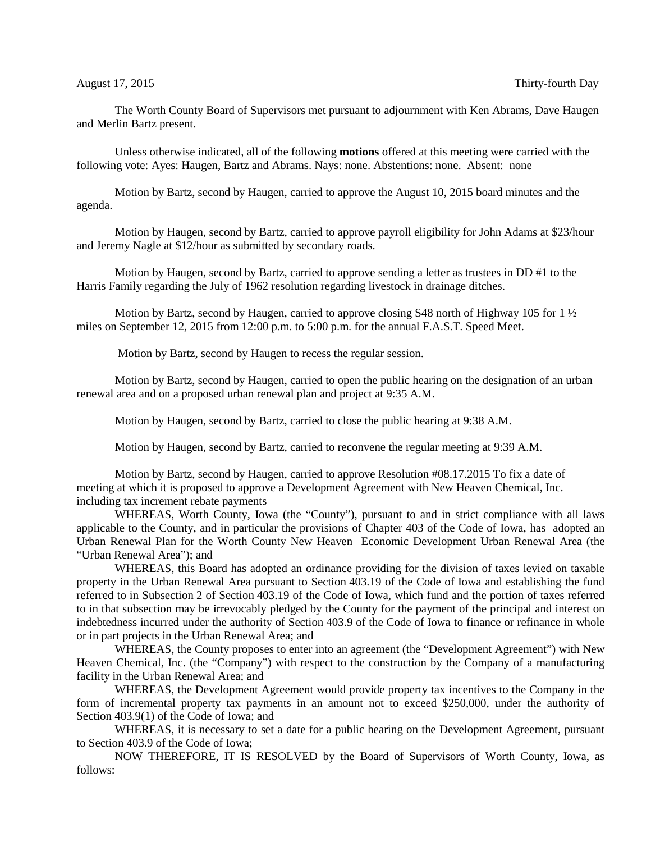The Worth County Board of Supervisors met pursuant to adjournment with Ken Abrams, Dave Haugen and Merlin Bartz present.

Unless otherwise indicated, all of the following **motions** offered at this meeting were carried with the following vote: Ayes: Haugen, Bartz and Abrams. Nays: none. Abstentions: none. Absent: none

Motion by Bartz, second by Haugen, carried to approve the August 10, 2015 board minutes and the agenda.

Motion by Haugen, second by Bartz, carried to approve payroll eligibility for John Adams at \$23/hour and Jeremy Nagle at \$12/hour as submitted by secondary roads.

Motion by Haugen, second by Bartz, carried to approve sending a letter as trustees in DD #1 to the Harris Family regarding the July of 1962 resolution regarding livestock in drainage ditches.

Motion by Bartz, second by Haugen, carried to approve closing S48 north of Highway 105 for  $1\frac{1}{2}$ miles on September 12, 2015 from 12:00 p.m. to 5:00 p.m. for the annual F.A.S.T. Speed Meet.

Motion by Bartz, second by Haugen to recess the regular session.

Motion by Bartz, second by Haugen, carried to open the public hearing on the designation of an urban renewal area and on a proposed urban renewal plan and project at 9:35 A.M.

Motion by Haugen, second by Bartz, carried to close the public hearing at 9:38 A.M.

Motion by Haugen, second by Bartz, carried to reconvene the regular meeting at 9:39 A.M.

Motion by Bartz, second by Haugen, carried to approve Resolution #08.17.2015 To fix a date of meeting at which it is proposed to approve a Development Agreement with New Heaven Chemical, Inc. including tax increment rebate payments

WHEREAS, Worth County, Iowa (the "County"), pursuant to and in strict compliance with all laws applicable to the County, and in particular the provisions of Chapter 403 of the Code of Iowa, has adopted an Urban Renewal Plan for the Worth County New Heaven Economic Development Urban Renewal Area (the "Urban Renewal Area"); and

WHEREAS, this Board has adopted an ordinance providing for the division of taxes levied on taxable property in the Urban Renewal Area pursuant to Section 403.19 of the Code of Iowa and establishing the fund referred to in Subsection 2 of Section 403.19 of the Code of Iowa, which fund and the portion of taxes referred to in that subsection may be irrevocably pledged by the County for the payment of the principal and interest on indebtedness incurred under the authority of Section 403.9 of the Code of Iowa to finance or refinance in whole or in part projects in the Urban Renewal Area; and

WHEREAS, the County proposes to enter into an agreement (the "Development Agreement") with New Heaven Chemical, Inc. (the "Company") with respect to the construction by the Company of a manufacturing facility in the Urban Renewal Area; and

WHEREAS, the Development Agreement would provide property tax incentives to the Company in the form of incremental property tax payments in an amount not to exceed \$250,000, under the authority of Section 403.9(1) of the Code of Iowa; and

WHEREAS, it is necessary to set a date for a public hearing on the Development Agreement, pursuant to Section 403.9 of the Code of Iowa;

NOW THEREFORE, IT IS RESOLVED by the Board of Supervisors of Worth County, Iowa, as follows: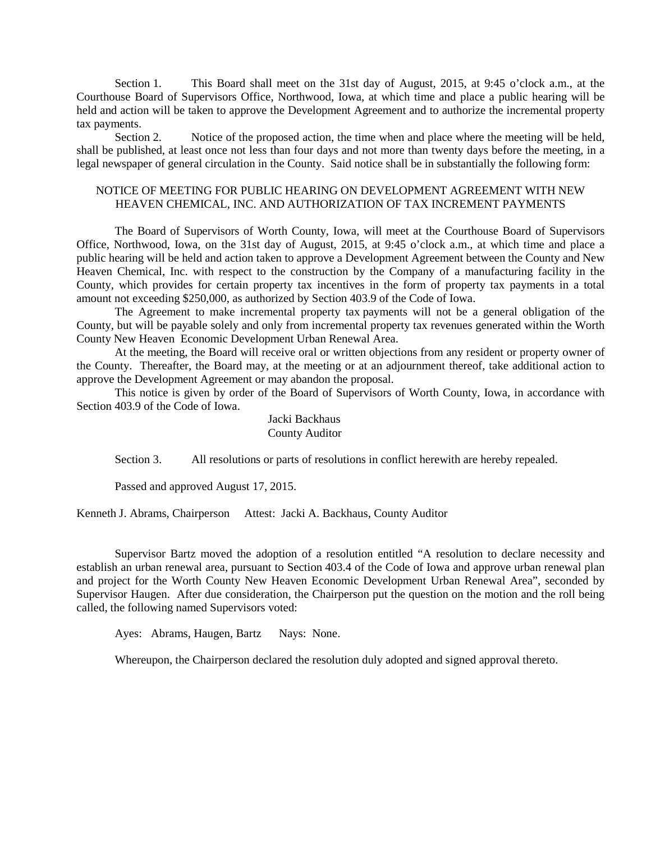Section 1. This Board shall meet on the 31st day of August, 2015, at 9:45 o'clock a.m., at the Courthouse Board of Supervisors Office, Northwood, Iowa, at which time and place a public hearing will be held and action will be taken to approve the Development Agreement and to authorize the incremental property tax payments.

Section 2. Notice of the proposed action, the time when and place where the meeting will be held, shall be published, at least once not less than four days and not more than twenty days before the meeting, in a legal newspaper of general circulation in the County. Said notice shall be in substantially the following form:

### NOTICE OF MEETING FOR PUBLIC HEARING ON DEVELOPMENT AGREEMENT WITH NEW HEAVEN CHEMICAL, INC. AND AUTHORIZATION OF TAX INCREMENT PAYMENTS

The Board of Supervisors of Worth County, Iowa, will meet at the Courthouse Board of Supervisors Office, Northwood, Iowa, on the 31st day of August, 2015, at 9:45 o'clock a.m., at which time and place a public hearing will be held and action taken to approve a Development Agreement between the County and New Heaven Chemical, Inc. with respect to the construction by the Company of a manufacturing facility in the County, which provides for certain property tax incentives in the form of property tax payments in a total amount not exceeding \$250,000, as authorized by Section 403.9 of the Code of Iowa.

The Agreement to make incremental property tax payments will not be a general obligation of the County, but will be payable solely and only from incremental property tax revenues generated within the Worth County New Heaven Economic Development Urban Renewal Area.

At the meeting, the Board will receive oral or written objections from any resident or property owner of the County. Thereafter, the Board may, at the meeting or at an adjournment thereof, take additional action to approve the Development Agreement or may abandon the proposal.

This notice is given by order of the Board of Supervisors of Worth County, Iowa, in accordance with Section 403.9 of the Code of Iowa.

## Jacki Backhaus County Auditor

Section 3. All resolutions or parts of resolutions in conflict herewith are hereby repealed.

Passed and approved August 17, 2015.

Kenneth J. Abrams, Chairperson Attest: Jacki A. Backhaus, County Auditor

Supervisor Bartz moved the adoption of a resolution entitled "A resolution to declare necessity and establish an urban renewal area, pursuant to Section 403.4 of the Code of Iowa and approve urban renewal plan and project for the Worth County New Heaven Economic Development Urban Renewal Area", seconded by Supervisor Haugen. After due consideration, the Chairperson put the question on the motion and the roll being called, the following named Supervisors voted:

Ayes: Abrams, Haugen, Bartz Nays: None.

Whereupon, the Chairperson declared the resolution duly adopted and signed approval thereto.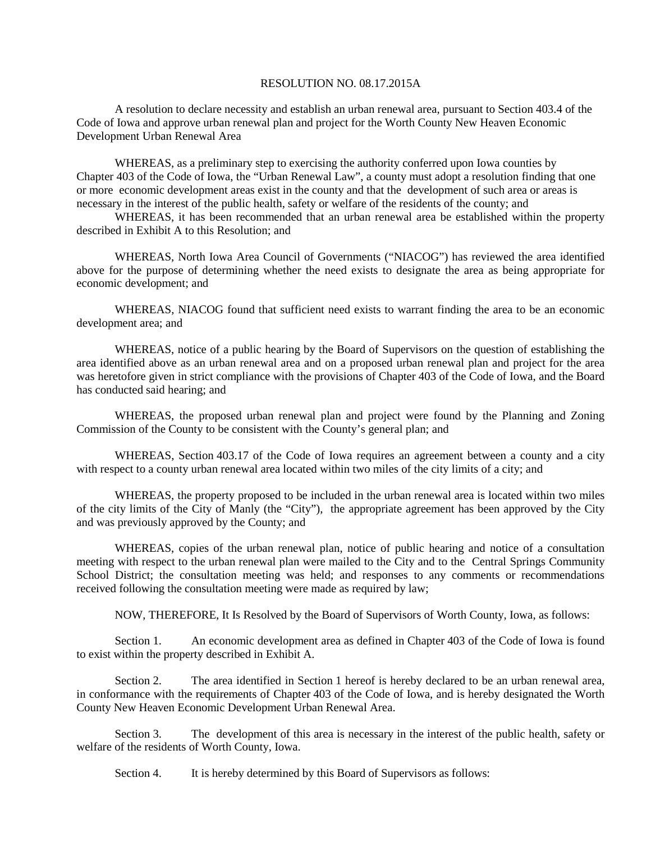### RESOLUTION NO. 08.17.2015A

A resolution to declare necessity and establish an urban renewal area, pursuant to Section 403.4 of the Code of Iowa and approve urban renewal plan and project for the Worth County New Heaven Economic Development Urban Renewal Area

WHEREAS, as a preliminary step to exercising the authority conferred upon Iowa counties by Chapter 403 of the Code of Iowa, the "Urban Renewal Law", a county must adopt a resolution finding that one or more economic development areas exist in the county and that the development of such area or areas is necessary in the interest of the public health, safety or welfare of the residents of the county; and

WHEREAS, it has been recommended that an urban renewal area be established within the property described in Exhibit A to this Resolution; and

WHEREAS, North Iowa Area Council of Governments ("NIACOG") has reviewed the area identified above for the purpose of determining whether the need exists to designate the area as being appropriate for economic development; and

WHEREAS, NIACOG found that sufficient need exists to warrant finding the area to be an economic development area; and

WHEREAS, notice of a public hearing by the Board of Supervisors on the question of establishing the area identified above as an urban renewal area and on a proposed urban renewal plan and project for the area was heretofore given in strict compliance with the provisions of Chapter 403 of the Code of Iowa, and the Board has conducted said hearing; and

WHEREAS, the proposed urban renewal plan and project were found by the Planning and Zoning Commission of the County to be consistent with the County's general plan; and

WHEREAS, Section 403.17 of the Code of Iowa requires an agreement between a county and a city with respect to a county urban renewal area located within two miles of the city limits of a city; and

WHEREAS, the property proposed to be included in the urban renewal area is located within two miles of the city limits of the City of Manly (the "City"), the appropriate agreement has been approved by the City and was previously approved by the County; and

WHEREAS, copies of the urban renewal plan, notice of public hearing and notice of a consultation meeting with respect to the urban renewal plan were mailed to the City and to the Central Springs Community School District; the consultation meeting was held; and responses to any comments or recommendations received following the consultation meeting were made as required by law;

NOW, THEREFORE, It Is Resolved by the Board of Supervisors of Worth County, Iowa, as follows:

Section 1. An economic development area as defined in Chapter 403 of the Code of Iowa is found to exist within the property described in Exhibit A.

Section 2. The area identified in Section 1 hereof is hereby declared to be an urban renewal area, in conformance with the requirements of Chapter 403 of the Code of Iowa, and is hereby designated the Worth County New Heaven Economic Development Urban Renewal Area.

Section 3. The development of this area is necessary in the interest of the public health, safety or welfare of the residents of Worth County, Iowa.

Section 4. It is hereby determined by this Board of Supervisors as follows: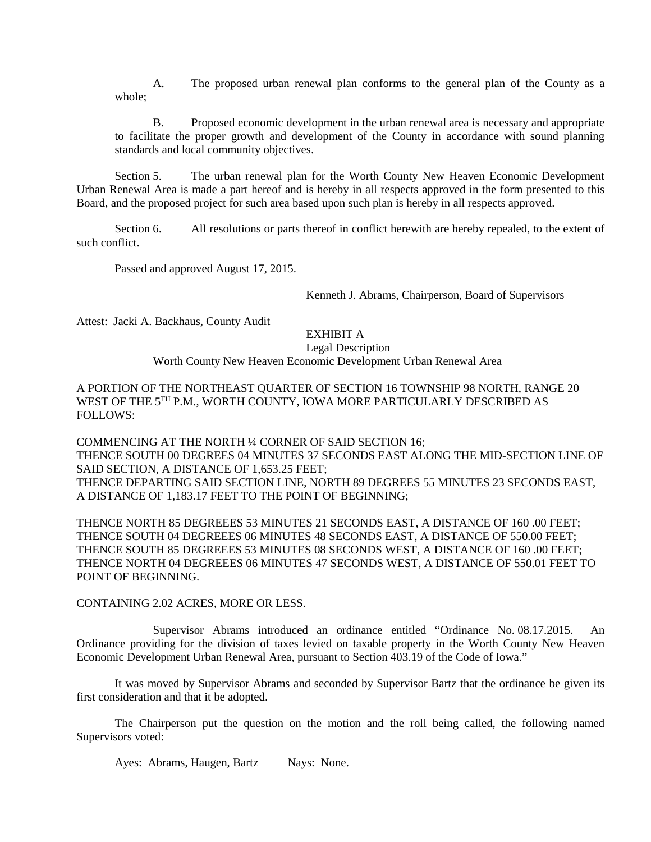A. The proposed urban renewal plan conforms to the general plan of the County as a whole;

B. Proposed economic development in the urban renewal area is necessary and appropriate to facilitate the proper growth and development of the County in accordance with sound planning standards and local community objectives.

Section 5. The urban renewal plan for the Worth County New Heaven Economic Development Urban Renewal Area is made a part hereof and is hereby in all respects approved in the form presented to this Board, and the proposed project for such area based upon such plan is hereby in all respects approved.

Section 6. All resolutions or parts thereof in conflict herewith are hereby repealed, to the extent of such conflict.

Passed and approved August 17, 2015.

Kenneth J. Abrams, Chairperson, Board of Supervisors

Attest: Jacki A. Backhaus, County Audit

# EXHIBIT A

Legal Description

Worth County New Heaven Economic Development Urban Renewal Area

A PORTION OF THE NORTHEAST QUARTER OF SECTION 16 TOWNSHIP 98 NORTH, RANGE 20 WEST OF THE 5TH P.M., WORTH COUNTY, IOWA MORE PARTICULARLY DESCRIBED AS FOLLOWS:

COMMENCING AT THE NORTH ¼ CORNER OF SAID SECTION 16; THENCE SOUTH 00 DEGREES 04 MINUTES 37 SECONDS EAST ALONG THE MID-SECTION LINE OF SAID SECTION, A DISTANCE OF 1,653.25 FEET; THENCE DEPARTING SAID SECTION LINE, NORTH 89 DEGREES 55 MINUTES 23 SECONDS EAST, A DISTANCE OF 1,183.17 FEET TO THE POINT OF BEGINNING;

THENCE NORTH 85 DEGREEES 53 MINUTES 21 SECONDS EAST, A DISTANCE OF 160 .00 FEET; THENCE SOUTH 04 DEGREEES 06 MINUTES 48 SECONDS EAST, A DISTANCE OF 550.00 FEET; THENCE SOUTH 85 DEGREEES 53 MINUTES 08 SECONDS WEST, A DISTANCE OF 160 .00 FEET; THENCE NORTH 04 DEGREEES 06 MINUTES 47 SECONDS WEST, A DISTANCE OF 550.01 FEET TO POINT OF BEGINNING.

#### CONTAINING 2.02 ACRES, MORE OR LESS.

Supervisor Abrams introduced an ordinance entitled "Ordinance No. 08.17.2015. An Ordinance providing for the division of taxes levied on taxable property in the Worth County New Heaven Economic Development Urban Renewal Area, pursuant to Section 403.19 of the Code of Iowa."

It was moved by Supervisor Abrams and seconded by Supervisor Bartz that the ordinance be given its first consideration and that it be adopted.

The Chairperson put the question on the motion and the roll being called, the following named Supervisors voted:

Ayes: Abrams, Haugen, Bartz Nays: None.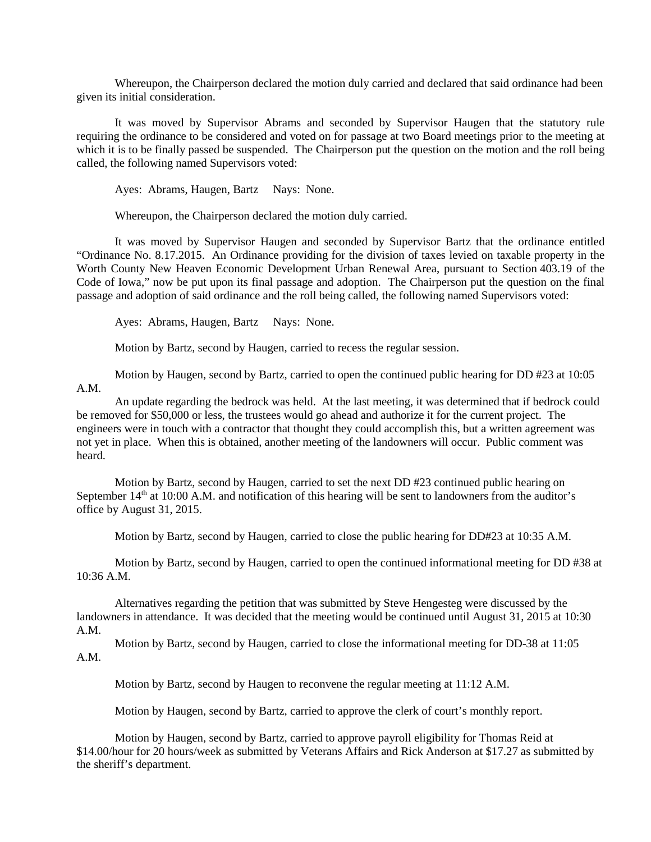Whereupon, the Chairperson declared the motion duly carried and declared that said ordinance had been given its initial consideration.

It was moved by Supervisor Abrams and seconded by Supervisor Haugen that the statutory rule requiring the ordinance to be considered and voted on for passage at two Board meetings prior to the meeting at which it is to be finally passed be suspended. The Chairperson put the question on the motion and the roll being called, the following named Supervisors voted:

Ayes: Abrams, Haugen, Bartz Nays: None.

Whereupon, the Chairperson declared the motion duly carried.

It was moved by Supervisor Haugen and seconded by Supervisor Bartz that the ordinance entitled "Ordinance No. 8.17.2015. An Ordinance providing for the division of taxes levied on taxable property in the Worth County New Heaven Economic Development Urban Renewal Area, pursuant to Section 403.19 of the Code of Iowa," now be put upon its final passage and adoption. The Chairperson put the question on the final passage and adoption of said ordinance and the roll being called, the following named Supervisors voted:

Ayes: Abrams, Haugen, Bartz Nays: None.

Motion by Bartz, second by Haugen, carried to recess the regular session.

Motion by Haugen, second by Bartz, carried to open the continued public hearing for DD #23 at 10:05 A.M.

An update regarding the bedrock was held. At the last meeting, it was determined that if bedrock could be removed for \$50,000 or less, the trustees would go ahead and authorize it for the current project. The engineers were in touch with a contractor that thought they could accomplish this, but a written agreement was not yet in place. When this is obtained, another meeting of the landowners will occur. Public comment was heard.

Motion by Bartz, second by Haugen, carried to set the next DD #23 continued public hearing on September 14<sup>th</sup> at 10:00 A.M. and notification of this hearing will be sent to landowners from the auditor's office by August 31, 2015.

Motion by Bartz, second by Haugen, carried to close the public hearing for DD#23 at 10:35 A.M.

Motion by Bartz, second by Haugen, carried to open the continued informational meeting for DD #38 at 10:36 A.M.

Alternatives regarding the petition that was submitted by Steve Hengesteg were discussed by the landowners in attendance. It was decided that the meeting would be continued until August 31, 2015 at 10:30 A.M.

Motion by Bartz, second by Haugen, carried to close the informational meeting for DD-38 at 11:05 A.M.

Motion by Bartz, second by Haugen to reconvene the regular meeting at 11:12 A.M.

Motion by Haugen, second by Bartz, carried to approve the clerk of court's monthly report.

Motion by Haugen, second by Bartz, carried to approve payroll eligibility for Thomas Reid at \$14.00/hour for 20 hours/week as submitted by Veterans Affairs and Rick Anderson at \$17.27 as submitted by the sheriff's department.